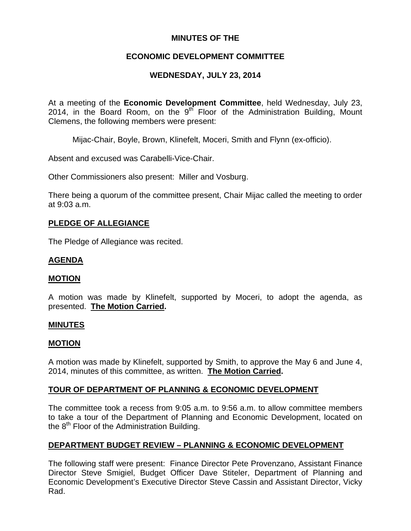# **MINUTES OF THE**

# **ECONOMIC DEVELOPMENT COMMITTEE**

# **WEDNESDAY, JULY 23, 2014**

At a meeting of the **Economic Development Committee**, held Wednesday, July 23, 2014, in the Board Room, on the  $9<sup>th</sup>$  Floor of the Administration Building, Mount Clemens, the following members were present:

Mijac-Chair, Boyle, Brown, Klinefelt, Moceri, Smith and Flynn (ex-officio).

Absent and excused was Carabelli-Vice-Chair.

Other Commissioners also present: Miller and Vosburg.

There being a quorum of the committee present, Chair Mijac called the meeting to order at 9:03 a.m.

### **PLEDGE OF ALLEGIANCE**

The Pledge of Allegiance was recited.

### **AGENDA**

### **MOTION**

A motion was made by Klinefelt, supported by Moceri, to adopt the agenda, as presented. **The Motion Carried.** 

### **MINUTES**

### **MOTION**

A motion was made by Klinefelt, supported by Smith, to approve the May 6 and June 4, 2014, minutes of this committee, as written. **The Motion Carried.** 

### **TOUR OF DEPARTMENT OF PLANNING & ECONOMIC DEVELOPMENT**

The committee took a recess from 9:05 a.m. to 9:56 a.m. to allow committee members to take a tour of the Department of Planning and Economic Development, located on the  $8<sup>th</sup>$  Floor of the Administration Building.

### **DEPARTMENT BUDGET REVIEW – PLANNING & ECONOMIC DEVELOPMENT**

The following staff were present: Finance Director Pete Provenzano, Assistant Finance Director Steve Smigiel, Budget Officer Dave Stiteler, Department of Planning and Economic Development's Executive Director Steve Cassin and Assistant Director, Vicky Rad.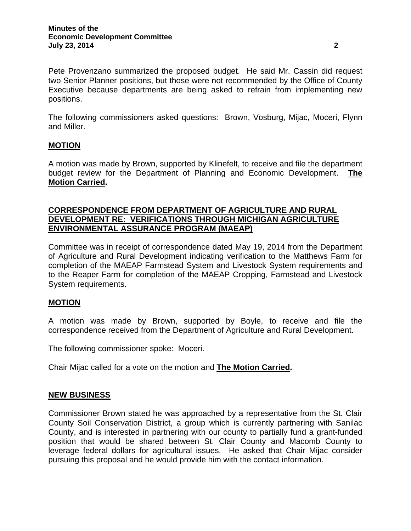The following commissioners asked questions: Brown, Vosburg, Mijac, Moceri, Flynn and Miller.

### **MOTION**

A motion was made by Brown, supported by Klinefelt, to receive and file the department budget review for the Department of Planning and Economic Development. **The Motion Carried.**

### **CORRESPONDENCE FROM DEPARTMENT OF AGRICULTURE AND RURAL DEVELOPMENT RE: VERIFICATIONS THROUGH MICHIGAN AGRICULTURE ENVIRONMENTAL ASSURANCE PROGRAM (MAEAP)**

Committee was in receipt of correspondence dated May 19, 2014 from the Department of Agriculture and Rural Development indicating verification to the Matthews Farm for completion of the MAEAP Farmstead System and Livestock System requirements and to the Reaper Farm for completion of the MAEAP Cropping, Farmstead and Livestock System requirements.

### **MOTION**

A motion was made by Brown, supported by Boyle, to receive and file the correspondence received from the Department of Agriculture and Rural Development.

The following commissioner spoke: Moceri.

Chair Mijac called for a vote on the motion and **The Motion Carried.** 

### **NEW BUSINESS**

Commissioner Brown stated he was approached by a representative from the St. Clair County Soil Conservation District, a group which is currently partnering with Sanilac County, and is interested in partnering with our county to partially fund a grant-funded position that would be shared between St. Clair County and Macomb County to leverage federal dollars for agricultural issues. He asked that Chair Mijac consider pursuing this proposal and he would provide him with the contact information.